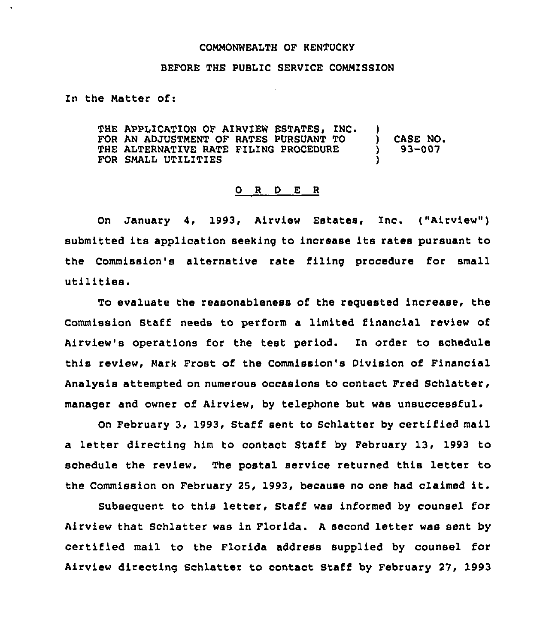## CONMONWEALTH OF KENTUCKY

## BEFORE THE PUBLIC SERVICE COMMISSION

In the Natter of:

THE APPLICATION OF AIRVIEW ESTATES, INC. FOR AN ADJUSTMENT OF RATES PURSUANT TO THE ALTERNATIVE RATE FILING PROCEDURE FOR SHALL UTILITIES  $\left\{ \right\}$ ) CASE NO. ) 93-007 )

## 0 <sup>R</sup> <sup>D</sup> E <sup>R</sup>

On January 4, 1993, Airview Estates, Inc. ("Airview") submitted its application seeking to increase its rates pursuant to the Commission's alternative rate filing procedure for small utilities.

To evaluate the reasonableness of the requested increase, the Commission Staff needs to perform a limited financial review of Airview's operations for the test period. Zn order to schedule this review, Nark Frost of the Commission's Division of Financial Analysis attempted on numerous occasions to contact Fred Schlatter, manager and owner of Airview, by telephone but was unsuccessful.

On February 3, 1993, Staff sent to Schlatter by certified mail a letter directing him to contact Staff by February 13, 1993 to schedule the review. The postal service returned this letter to the Commission on February 25, 1993, because no one had claimed it.

Subsequent to this letter, Staff was informed by counsel for Airview that Schlatter was in Florida. <sup>A</sup> second letter was sent by certified mail to the Florida address supplied by counsel for Airview directing Schlatter to contact Staff by February 27, 1993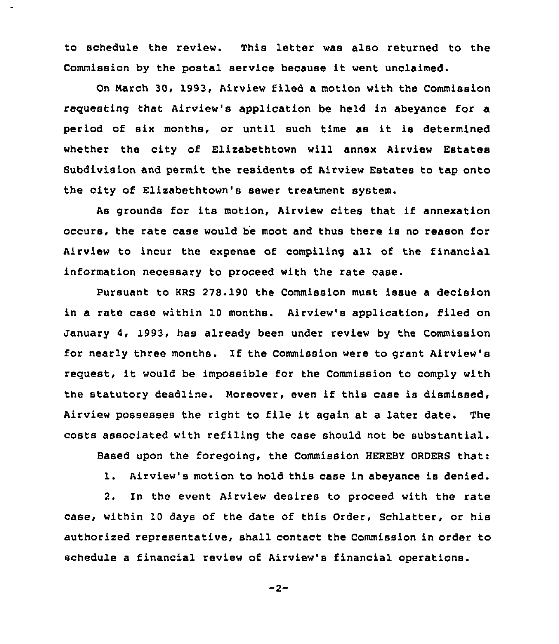to schedule the review. This letter was also returned to the Commission by the postal service because it went unclaimed.

On March 30, 1993, Airview filed a motion with the Commission reguesting that Airview's application be held in abeyance for a period of six months, or until such time as it is determined whether the city of Elizabethtown will annex Airview Estates Subdivision and permit the residents of Airview Estates to tap onto the city of Elizabethtown's sewer treatment system.

As grounds for its motion, Airview cites that if annexation occurs, the rate case would be moot and thus there is no reason for Airview to incur the expense of compiling all of the financial information necessary to proceed with the rate case.

Pursuant to KRS 278.190 the Commission must issue a decision in a rate case within 10 months. Airview's application, filed on January 4, 1993, has already been under review by the Commission for nearly three months. If the Commission were to grant Airview's reguest, it would be impossible for the Commission to comply with the statutory deadline. Moreover, even if this case is dismissed, Airview possesses the right to file it again at a later date. The costs associated with refiling the case should not be substantial.

Based upon the foregoing, the Commission HEREBY ORDERS that:

1. Airview's motion to hold this case in abeyance is denied.

2. In the event Airview desires to proceed with the rate case, within 10 days of the date of this Order, Schlatter, or his authorized representative, shall contact the Commission in order to schedule a financial review of Airview's financial operations.

 $-2-$